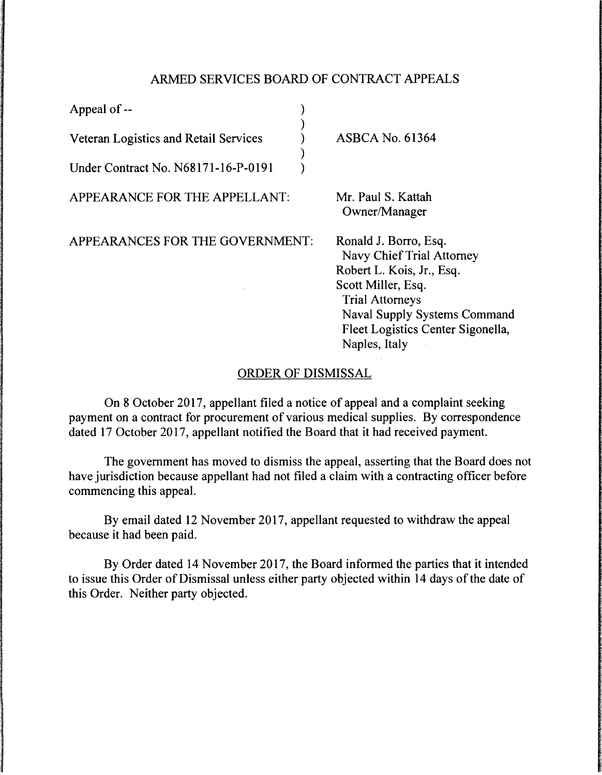## ARMED SERVICES BOARD OF CONTRACT APPEALS

) ) ) ) )

Appeal of--

Veteran Logistics and Retail Services

Under Contract No. N68171-16-P-O 191

APPEARANCE FOR THE APPELLANT:

APPEARANCES FOR THE GOVERNMENT:

ASBCA No. 61364

Mr. Paul S. Kattah Owner/Manager

Ronald J. Borro, Esq. Navy Chief Trial Attorney Robert L. Kois, Jr., Esq. Scott Miller, Esq. Trial Attorneys Naval Supply Systems Command Fleet Logistics Center Sigonella, Naples, Italy

## ORDER OF DISMISSAL

On 8 October 2017, appellant filed a notice of appeal and a complaint seeking payment on a contract for procurement of various medical supplies. By correspondence dated 17 October 2017, appellant notified the Board that it had received payment.

The government has moved to dismiss the appeal, asserting that the Board does not have jurisdiction because appellant had not filed a claim with a contracting officer before commencing this appeal.

By email dated 12 November 2017, appellant requested to withdraw the appeal because it had been paid.

By Order dated 14 November 2017, the Board informed the parties that it intended to issue this Order of Dismissal unless either party objected within 14 days of the date of this Order. Neither party objected.